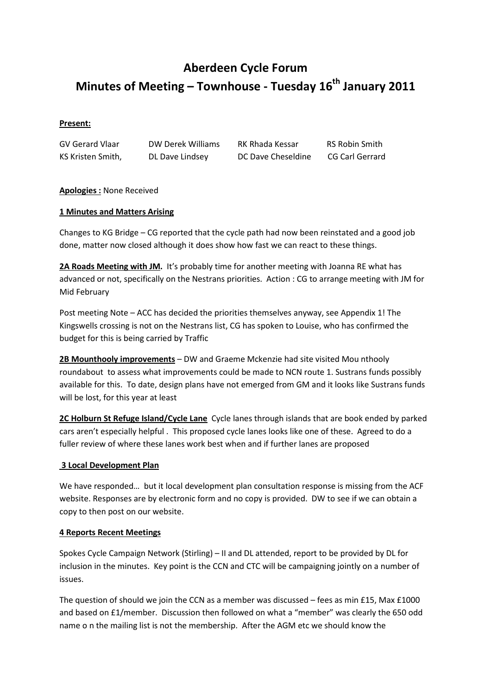# Aberdeen Cycle Forum Minutes of Meeting – Townhouse - Tuesday  $16<sup>th</sup>$  January 2011

#### Present:

GV Gerard Vlaar DW Derek Williams RK Rhada Kessar RS Robin Smith KS Kristen Smith, DL Dave Lindsey DC Dave Cheseldine CG Carl Gerrard

### Apologies : None Received

#### 1 Minutes and Matters Arising

Changes to KG Bridge – CG reported that the cycle path had now been reinstated and a good job done, matter now closed although it does show how fast we can react to these things.

2A Roads Meeting with JM. It's probably time for another meeting with Joanna RE what has advanced or not, specifically on the Nestrans priorities. Action : CG to arrange meeting with JM for Mid February

Post meeting Note – ACC has decided the priorities themselves anyway, see Appendix 1! The Kingswells crossing is not on the Nestrans list, CG has spoken to Louise, who has confirmed the budget for this is being carried by Traffic

2B Mounthooly improvements – DW and Graeme Mckenzie had site visited Mou nthooly roundabout to assess what improvements could be made to NCN route 1. Sustrans funds possibly available for this. To date, design plans have not emerged from GM and it looks like Sustrans funds will be lost, for this year at least

2C Holburn St Refuge Island/Cycle Lane Cycle lanes through islands that are book ended by parked cars aren't especially helpful . This proposed cycle lanes looks like one of these. Agreed to do a fuller review of where these lanes work best when and if further lanes are proposed

#### 3 Local Development Plan

We have responded… but it local development plan consultation response is missing from the ACF website. Responses are by electronic form and no copy is provided. DW to see if we can obtain a copy to then post on our website.

#### 4 Reports Recent Meetings

Spokes Cycle Campaign Network (Stirling) – II and DL attended, report to be provided by DL for inclusion in the minutes. Key point is the CCN and CTC will be campaigning jointly on a number of issues.

The question of should we join the CCN as a member was discussed – fees as min £15, Max £1000 and based on £1/member. Discussion then followed on what a "member" was clearly the 650 odd name o n the mailing list is not the membership. After the AGM etc we should know the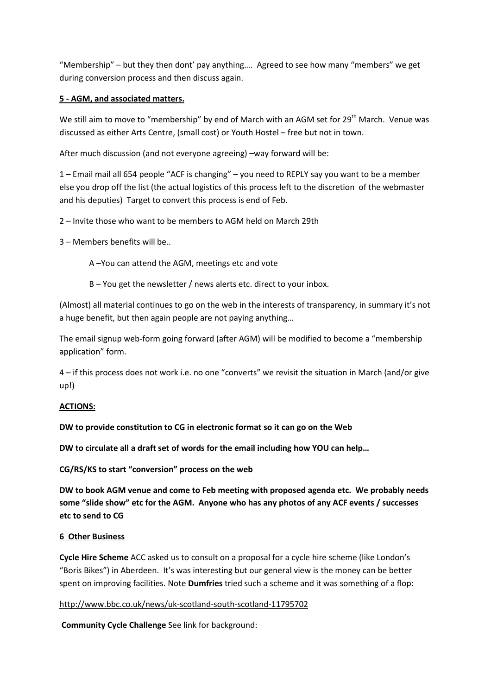"Membership" – but they then dont' pay anything…. Agreed to see how many "members" we get during conversion process and then discuss again.

# 5 - AGM, and associated matters.

We still aim to move to "membership" by end of March with an AGM set for 29<sup>th</sup> March. Venue was discussed as either Arts Centre, (small cost) or Youth Hostel – free but not in town.

After much discussion (and not everyone agreeing) –way forward will be:

1 – Email mail all 654 people "ACF is changing" – you need to REPLY say you want to be a member else you drop off the list (the actual logistics of this process left to the discretion of the webmaster and his deputies) Target to convert this process is end of Feb.

2 – Invite those who want to be members to AGM held on March 29th

3 – Members benefits will be..

A –You can attend the AGM, meetings etc and vote

B – You get the newsletter / news alerts etc. direct to your inbox.

(Almost) all material continues to go on the web in the interests of transparency, in summary it's not a huge benefit, but then again people are not paying anything…

The email signup web-form going forward (after AGM) will be modified to become a "membership application" form.

4 – if this process does not work i.e. no one "converts" we revisit the situation in March (and/or give up!)

### ACTIONS:

DW to provide constitution to CG in electronic format so it can go on the Web

DW to circulate all a draft set of words for the email including how YOU can help…

CG/RS/KS to start "conversion" process on the web

DW to book AGM venue and come to Feb meeting with proposed agenda etc. We probably needs some "slide show" etc for the AGM. Anyone who has any photos of any ACF events / successes etc to send to CG

### 6 Other Business

Cycle Hire Scheme ACC asked us to consult on a proposal for a cycle hire scheme (like London's "Boris Bikes") in Aberdeen. It's was interesting but our general view is the money can be better spent on improving facilities. Note **Dumfries** tried such a scheme and it was something of a flop:

### http://www.bbc.co.uk/news/uk-scotland-south-scotland-11795702

Community Cycle Challenge See link for background: